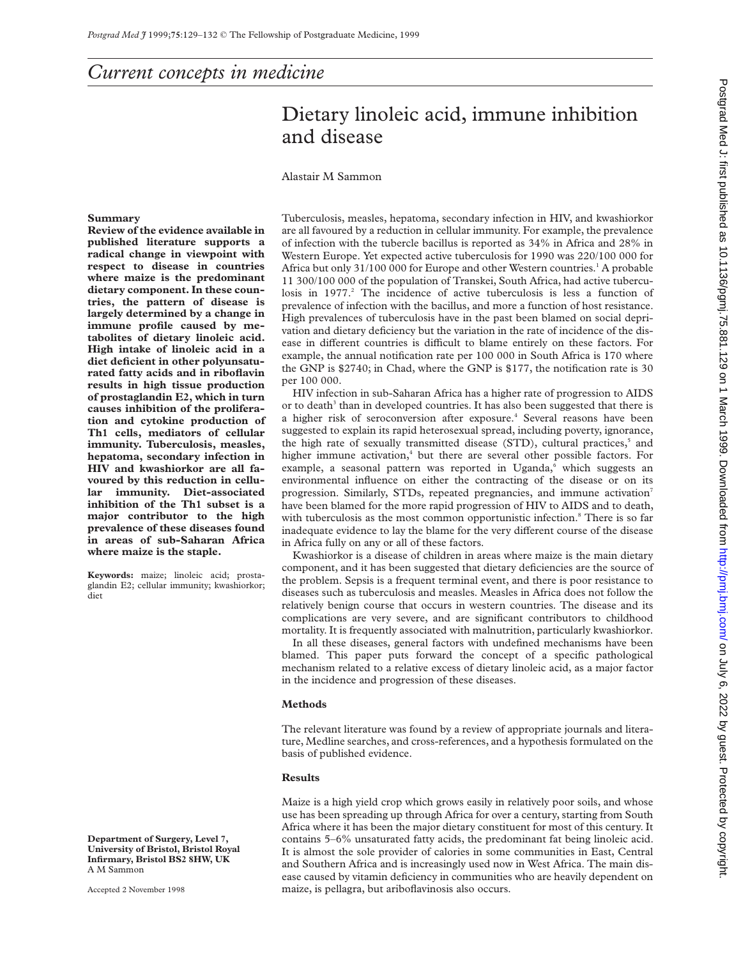# Dietary linoleic acid, immune inhibition and disease

# Alastair M Sammon

### **Summary**

**Review of the evidence available in published literature supports a radical change in viewpoint with respect to disease in countries where maize is the predominant dietary component. In these countries, the pattern of disease is largely determined by a change in immune profile caused by metabolites of dietary linoleic acid. High intake of linoleic acid in a diet deficient in other polyunsaturated fatty acids and in riboflavin results in high tissue production of prostaglandin E2, which in turn causes inhibition of the proliferation and cytokine production of Th1 cells, mediators of cellular immunity. Tuberculosis, measles, hepatoma, secondary infection in HIV and kwashiorkor are all favoured by this reduction in cellular immunity. Diet-associated inhibition of the Th1 subset is a major contributor to the high prevalence of these diseases found in areas of sub-Saharan Africa where maize is the staple.**

**Keywords:** maize; linoleic acid; prostaglandin E2; cellular immunity; kwashiorkor; diet

**Department of Surgery, Level 7, University of Bristol, Bristol Royal Infirmary, Bristol BS2 8HW, UK** A M Sammon

Accepted 2 November 1998

Tuberculosis, measles, hepatoma, secondary infection in HIV, and kwashiorkor are all favoured by a reduction in cellular immunity. For example, the prevalence of infection with the tubercle bacillus is reported as 34% in Africa and 28% in Western Europe. Yet expected active tuberculosis for 1990 was 220/100 000 for Africa but only  $31/100 000$  for Europe and other Western countries.<sup>1</sup> A probable 11 300/100 000 of the population of Transkei, South Africa, had active tuberculosis in 1977.<sup>2</sup> The incidence of active tuberculosis is less a function of prevalence of infection with the bacillus, and more a function of host resistance. High prevalences of tuberculosis have in the past been blamed on social deprivation and dietary deficiency but the variation in the rate of incidence of the disease in different countries is difficult to blame entirely on these factors. For example, the annual notification rate per 100 000 in South Africa is 170 where the GNP is \$2740; in Chad, where the GNP is \$177, the notification rate is 30 per 100 000.

HIV infection in sub-Saharan Africa has a higher rate of progression to AIDS or to death<sup>3</sup> than in developed countries. It has also been suggested that there is a higher risk of seroconversion after exposure.<sup>4</sup> Several reasons have been suggested to explain its rapid heterosexual spread, including poverty, ignorance, the high rate of sexually transmitted disease (STD), cultural practices,<sup>5</sup> and higher immune activation, $4$  but there are several other possible factors. For example, a seasonal pattern was reported in  $Uganda<sub>i</sub>$ <sup> $\omega$ </sup> which suggests an environmental influence on either the contracting of the disease or on its progression. Similarly, STDs, repeated pregnancies, and immune activation<sup>7</sup> have been blamed for the more rapid progression of HIV to AIDS and to death, with tuberculosis as the most common opportunistic infection.<sup>8</sup> There is so far inadequate evidence to lay the blame for the very different course of the disease in Africa fully on any or all of these factors.

Kwashiorkor is a disease of children in areas where maize is the main dietary component, and it has been suggested that dietary deficiencies are the source of the problem. Sepsis is a frequent terminal event, and there is poor resistance to diseases such as tuberculosis and measles. Measles in Africa does not follow the relatively benign course that occurs in western countries. The disease and its complications are very severe, and are significant contributors to childhood mortality. It is frequently associated with malnutrition, particularly kwashiorkor.

In all these diseases, general factors with undefined mechanisms have been blamed. This paper puts forward the concept of a specific pathological mechanism related to a relative excess of dietary linoleic acid, as a major factor in the incidence and progression of these diseases.

#### **Methods**

The relevant literature was found by a review of appropriate journals and literature, Medline searches, and cross-references, and a hypothesis formulated on the basis of published evidence.

## **Results**

Maize is a high yield crop which grows easily in relatively poor soils, and whose use has been spreading up through Africa for over a century, starting from South Africa where it has been the major dietary constituent for most of this century. It contains 5–6% unsaturated fatty acids, the predominant fat being linoleic acid. It is almost the sole provider of calories in some communities in East, Central and Southern Africa and is increasingly used now in West Africa. The main disease caused by vitamin deficiency in communities who are heavily dependent on maize, is pellagra, but ariboflavinosis also occurs.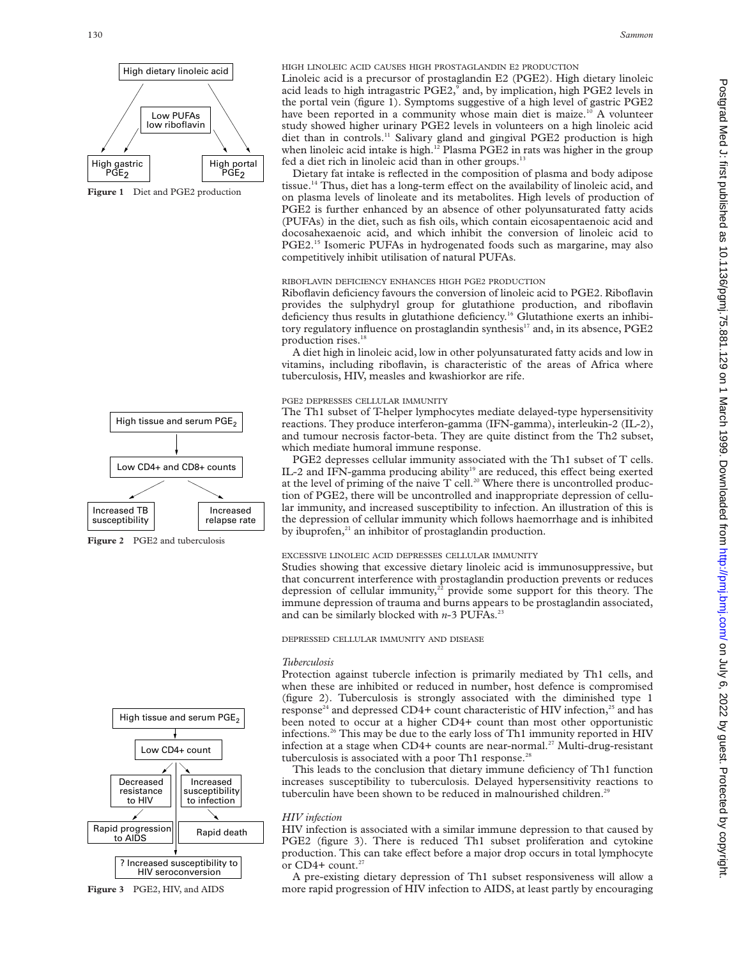

**Figure 1** Diet and PGE2 production



**Figure 2** PGE2 and tuberculosis



**Figure 3** PGE2, HIV, and AIDS

## HIGH LINOLEIC ACID CAUSES HIGH PROSTAGLANDIN E2 PRODUCTION

Linoleic acid is a precursor of prostaglandin E2 (PGE2). High dietary linoleic acid leads to high intragastric PGE2,<sup>9</sup> and, by implication, high PGE2 levels in the portal vein (figure 1). Symptoms suggestive of a high level of gastric PGE2 have been reported in a community whose main diet is maize.<sup>10</sup> A volunteer study showed higher urinary PGE2 levels in volunteers on a high linoleic acid diet than in controls.<sup>11</sup> Salivary gland and gingival PGE2 production is high when linoleic acid intake is high. $12$  Plasma PGE2 in rats was higher in the group fed a diet rich in linoleic acid than in other groups.<sup>13</sup>

Dietary fat intake is reflected in the composition of plasma and body adipose tissue.<sup>14</sup> Thus, diet has a long-term effect on the availability of linoleic acid, and on plasma levels of linoleate and its metabolites. High levels of production of PGE2 is further enhanced by an absence of other polyunsaturated fatty acids (PUFAs) in the diet, such as fish oils, which contain eicosapentaenoic acid and docosahexaenoic acid, and which inhibit the conversion of linoleic acid to PGE2.<sup>15</sup> Isomeric PUFAs in hydrogenated foods such as margarine, may also competitively inhibit utilisation of natural PUFAs.

## RIBOFLAVIN DEFICIENCY ENHANCES HIGH PGE2 PRODUCTION

Riboflavin deficiency favours the conversion of linoleic acid to PGE2. Riboflavin provides the sulphydryl group for glutathione production, and riboflavin deficiency thus results in glutathione deficiency.<sup>16</sup> Glutathione exerts an inhibitory regulatory influence on prostaglandin synthesis<sup>17</sup> and, in its absence,  $PGE2$ production rises.<sup>18</sup>

A diet high in linoleic acid, low in other polyunsaturated fatty acids and low in vitamins, including riboflavin, is characteristic of the areas of Africa where tuberculosis, HIV, measles and kwashiorkor are rife.

## PGE2 DEPRESSES CELLULAR IMMUNITY

The Th1 subset of T-helper lymphocytes mediate delayed-type hypersensitivity reactions. They produce interferon-gamma (IFN-gamma), interleukin-2 (IL-2), and tumour necrosis factor-beta. They are quite distinct from the Th2 subset, which mediate humoral immune response.

PGE2 depresses cellular immunity associated with the Th1 subset of T cells. IL-2 and IFN-gamma producing ability<sup>19</sup> are reduced, this effect being exerted at the level of priming of the naive  $T$  cell.<sup>20</sup> Where there is uncontrolled production of PGE2, there will be uncontrolled and inappropriate depression of cellular immunity, and increased susceptibility to infection. An illustration of this is the depression of cellular immunity which follows haemorrhage and is inhibited by ibuprofen, $21$  an inhibitor of prostaglandin production.

## EXCESSIVE LINOLEIC ACID DEPRESSES CELLULAR IMMUNITY

Studies showing that excessive dietary linoleic acid is immunosuppressive, but that concurrent interference with prostaglandin production prevents or reduces depression of cellular immunity, $2^2$  provide some support for this theory. The immune depression of trauma and burns appears to be prostaglandin associated, and can be similarly blocked with  $n-3$  PUFAs.<sup>23</sup>

DEPRESSED CELLULAR IMMUNITY AND DISEASE

#### *Tuberculosis*

Protection against tubercle infection is primarily mediated by Th1 cells, and when these are inhibited or reduced in number, host defence is compromised (figure 2). Tuberculosis is strongly associated with the diminished type 1 response<sup>24</sup> and depressed CD4+ count characteristic of HIV infection,<sup>25</sup> and has been noted to occur at a higher CD4+ count than most other opportunistic infections.26 This may be due to the early loss of Th1 immunity reported in HIV infection at a stage when CD4+ counts are near-normal.<sup>27</sup> Multi-drug-resistant tuberculosis is associated with a poor Th1 response.<sup>28</sup>

This leads to the conclusion that dietary immune deficiency of Th1 function increases susceptibility to tuberculosis. Delayed hypersensitivity reactions to tuberculin have been shown to be reduced in malnourished children.<sup>29</sup>

#### *HIV infection*

HIV infection is associated with a similar immune depression to that caused by PGE2 (figure 3). There is reduced Th1 subset proliferation and cytokine production. This can take effect before a major drop occurs in total lymphocyte or CD4+ count.<sup>27</sup>

A pre-existing dietary depression of Th1 subset responsiveness will allow a more rapid progression of HIV infection to AIDS, at least partly by encouraging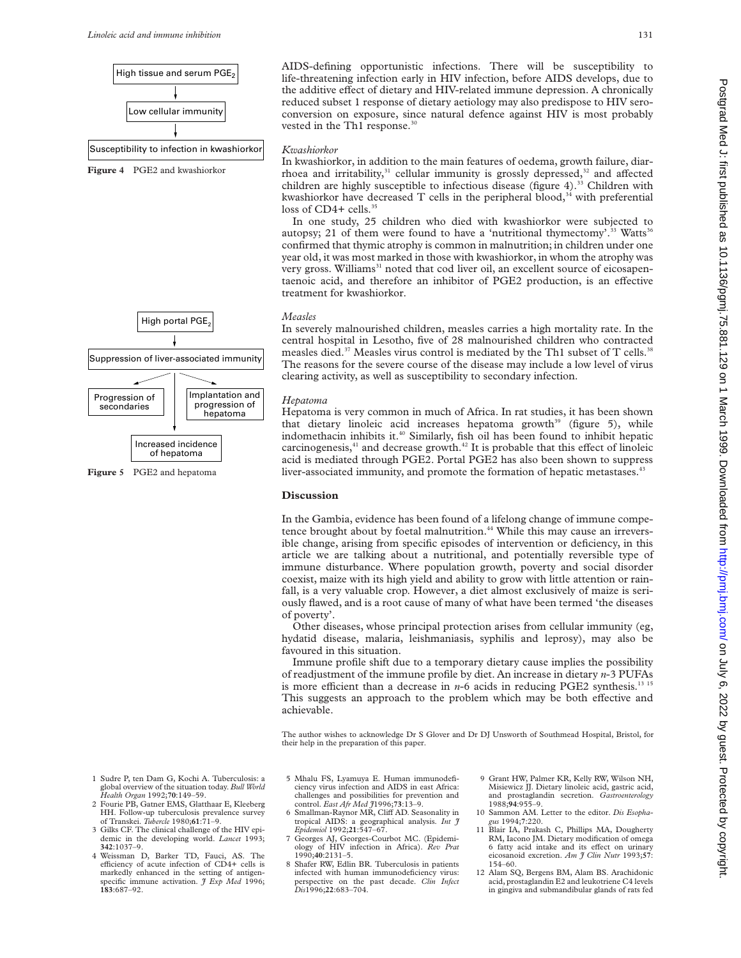







**Figure 5** PGE2 and hepatoma

- 1 Sudre P, ten Dam G, Kochi A. Tuberculosis: a global overview of the situation today. *Bull World Health Organ* 1992;**70**:149–59.
- 2 Fourie PB, Gatner EMS, Glatthaar E, Kleeberg HH. Follow-up tuberculosis prevalence survey of Transkei. *Tubercle* 1980;**61**:71–9.
- 3 Gilks CF. The clinical challenge of the HIV epidemic in the developing world. *Lancet* 1993; **342**:1037–9.
- 4 Weissman D, Barker TD, Fauci, AS. The efficiency of acute infection of CD4+ cells is markedly enhanced in the setting of antigen-specific immune activation. *J Exp Med* 1996; **183**:687–92.

AIDS-defining opportunistic infections. There will be susceptibility to life-threatening infection early in HIV infection, before AIDS develops, due to the additive effect of dietary and HIV-related immune depression. A chronically reduced subset 1 response of dietary aetiology may also predispose to HIV seroconversion on exposure, since natural defence against HIV is most probably vested in the Th1 response.<sup>30</sup>

#### *Kwashiorkor*

In kwashiorkor, in addition to the main features of oedema, growth failure, diarrhoea and irritability, $31$  cellular immunity is grossly depressed, $32$  and affected children are highly susceptible to infectious disease (figure 4).<sup>33</sup> Children with kwashiorkor have decreased  $T$  cells in the peripheral blood,<sup>34</sup> with preferential loss of CD4+ cells.<sup>35</sup>

In one study, 25 children who died with kwashiorkor were subjected to autopsy; 21 of them were found to have a 'nutritional thymectomy'.<sup>33</sup> Watts<sup>36</sup> confirmed that thymic atrophy is common in malnutrition; in children under one year old, it was most marked in those with kwashiorkor, in whom the atrophy was very gross. Williams<sup>31</sup> noted that cod liver oil, an excellent source of eicosapentaenoic acid, and therefore an inhibitor of PGE2 production, is an effective treatment for kwashiorkor.

#### *Measles*

In severely malnourished children, measles carries a high mortality rate. In the central hospital in Lesotho, five of 28 malnourished children who contracted measles died.<sup>37</sup> Measles virus control is mediated by the Th1 subset of T cells.<sup>38</sup> The reasons for the severe course of the disease may include a low level of virus clearing activity, as well as susceptibility to secondary infection.

# *Hepatoma*

Hepatoma is very common in much of Africa. In rat studies, it has been shown that dietary linoleic acid increases hepatoma growth $39$  (figure 5), while indomethacin inhibits it. $40$  Similarly, fish oil has been found to inhibit hepatic carcinogenesis, $41$  and decrease growth. $42$  It is probable that this effect of linoleic acid is mediated through PGE2. Portal PGE2 has also been shown to suppress liver-associated immunity, and promote the formation of hepatic metastases.<sup>4</sup>

### **Discussion**

In the Gambia, evidence has been found of a lifelong change of immune competence brought about by foetal malnutrition.<sup>44</sup> While this may cause an irreversible change, arising from specific episodes of intervention or deficiency, in this article we are talking about a nutritional, and potentially reversible type of immune disturbance. Where population growth, poverty and social disorder coexist, maize with its high yield and ability to grow with little attention or rainfall, is a very valuable crop. However, a diet almost exclusively of maize is seriously flawed, and is a root cause of many of what have been termed 'the diseases of poverty'.

Other diseases, whose principal protection arises from cellular immunity (eg, hydatid disease, malaria, leishmaniasis, syphilis and leprosy), may also be favoured in this situation.

Immune profile shift due to a temporary dietary cause implies the possibility of readjustment of the immune profile by diet. An increase in dietary *n*-3 PUFAs is more efficient than a decrease in  $n-6$  acids in reducing PGE2 synthesis.<sup>13 15</sup> This suggests an approach to the problem which may be both effective and achievable.

The author wishes to acknowledge Dr S Glover and Dr DJ Unsworth of Southmead Hospital, Bristol, for their help in the preparation of this paper.

- 5 Mhalu FS, Lyamuya E. Human immunodeficiency virus infection and AIDS in east Africa: challenges and possibilities for prevention and control. *East Afr Med J*1996;**73**:13–9.
- 6 Smallman-Raynor MR, Cliff AD. Seasonality in tropical AIDS: a geographical analysis. *Int*  $\hat{\jmath}$ *Epidemiol* 1992;**21**:547–67.
- 7 Georges AJ, Georges-Courbot MC. (Epidemiology of HIV infection in Africa). *Rev Prat* 1990;**40**:2131–5.
- 8 Shafer RW, Edlin BR. Tuberculosis in patients infected with human immunodeficiency virus: perspective on the past decade. *Clin Infect Dis*1996;**22**:683–704.
- 9 Grant HW, Palmer KR, Kelly RW, Wilson NH, Misiewicz JJ. Dietary linoleic acid, gastric acid, and prostaglandin secretion. *Gastroenterology* 1988;**94**:955–9.
- 10 Sammon AM. Letter to the editor. *Dis Esophagus* 1994;**7**:220.
- 11 Blair IA, Prakash C, Phillips MA, Dougherty RM, Iacono JM. Dietary modification of omega 6 fatty acid intake and its effect on urinary eicosanoid excretion. *Am J Clin Nutr* 1993;**57**: 154–60.
- 12 Alam SQ, Bergens BM, Alam BS. Arachidonic acid, prostaglandin E2 and leukotriene C4 levels in gingiva and submandibular glands of rats fed